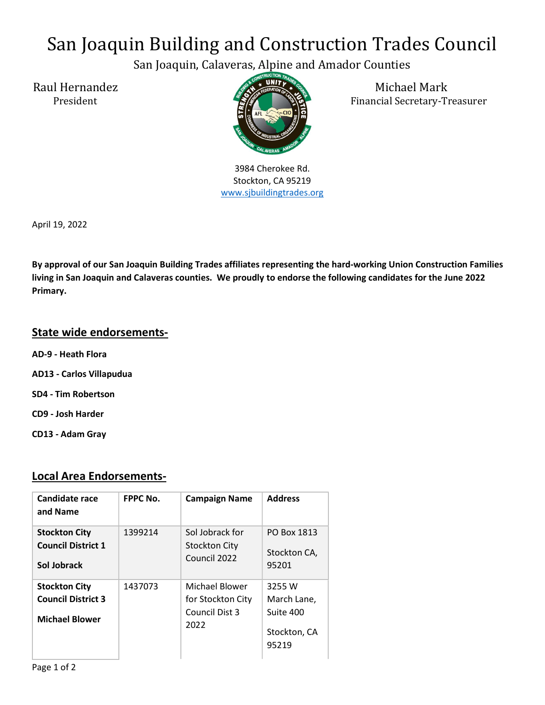## San Joaquin Building and Construction Trades Council

San Joaquin, Calaveras, Alpine and Amador Counties



3984 Cherokee Rd. Stockton, CA 95219 www.sjbuildingtrades.org

Raul Hernandez Michael Mark President Financial Secretary-Treasurer

April 19, 2022

By approval of our San Joaquin Building Trades affiliates representing the hard-working Union Construction Families living in San Joaquin and Calaveras counties. We proudly to endorse the following candidates for the June 2022 Primary.

## State wide endorsements-

- AD-9 Heath Flora
- AD13 Carlos Villapudua
- SD4 Tim Robertson
- CD9 Josh Harder
- CD13 Adam Gray

## Local Area Endorsements-

| Candidate race<br>and Name                                                 | <b>FPPC No.</b> | <b>Campaign Name</b>                                          | <b>Address</b>                                              |
|----------------------------------------------------------------------------|-----------------|---------------------------------------------------------------|-------------------------------------------------------------|
| <b>Stockton City</b><br><b>Council District 1</b><br>Sol Jobrack           | 1399214         | Sol Jobrack for<br>Stockton City<br>Council 2022              | PO Box 1813<br>Stockton CA,<br>95201                        |
| <b>Stockton City</b><br><b>Council District 3</b><br><b>Michael Blower</b> | 1437073         | Michael Blower<br>for Stockton City<br>Council Dist 3<br>2022 | 3255 W<br>March Lane,<br>Suite 400<br>Stockton, CA<br>95219 |